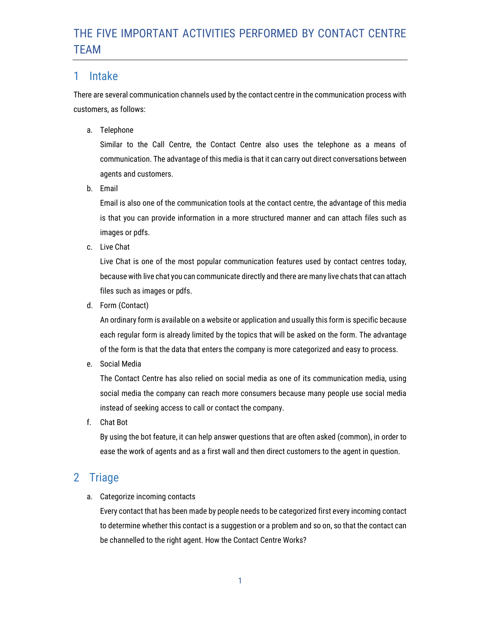## THE FIVE IMPORTANT ACTIVITIES PERFORMED BY CONTACT CENTRE TEAM

### 1 Intake

There are several communication channels used by the contact centre in the communication process with customers, as follows:

a. Telephone

Similar to the Call Centre, the Contact Centre also uses the telephone as a means of communication. The advantage of this media is that it can carry out direct conversations between agents and customers.

b. Email

Email is also one of the communication tools at the contact centre, the advantage of this media is that you can provide information in a more structured manner and can attach files such as images or pdfs.

c. Live Chat

Live Chat is one of the most popular communication features used by contact centres today, because with live chat you can communicate directly and there are many live chats that can attach files such as images or pdfs.

d. Form (Contact)

An ordinary form is available on a website or application and usually this form is specific because each regular form is already limited by the topics that will be asked on the form. The advantage of the form is that the data that enters the company is more categorized and easy to process.

e. Social Media

The Contact Centre has also relied on social media as one of its communication media, using social media the company can reach more consumers because many people use social media instead of seeking access to call or contact the company.

f. Chat Bot

By using the bot feature, it can help answer questions that are often asked (common), in order to ease the work of agents and as a first wall and then direct customers to the agent in question.

## 2 Triage

a. Categorize incoming contacts

Every contact that has been made by people needs to be categorized first every incoming contact to determine whether this contact is a suggestion or a problem and so on, so that the contact can be channelled to the right agent. How the Contact Centre Works?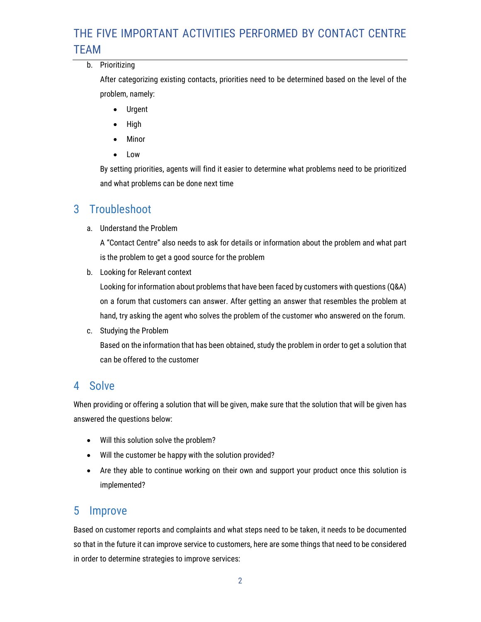# THE FIVE IMPORTANT ACTIVITIES PERFORMED BY CONTACT CENTRE TEAM

#### b. Prioritizing

After categorizing existing contacts, priorities need to be determined based on the level of the problem, namely:

- Urgent
- $\bullet$  High
- Minor
- Low

By setting priorities, agents will find it easier to determine what problems need to be prioritized and what problems can be done next time

### 3 Troubleshoot

a. Understand the Problem

A "Contact Centre" also needs to ask for details or information about the problem and what part is the problem to get a good source for the problem

b. Looking for Relevant context

Looking for information about problems that have been faced by customers with questions (Q&A) on a forum that customers can answer. After getting an answer that resembles the problem at hand, try asking the agent who solves the problem of the customer who answered on the forum.

c. Studying the Problem

Based on the information that has been obtained, study the problem in order to get a solution that can be offered to the customer

## 4 Solve

When providing or offering a solution that will be given, make sure that the solution that will be given has answered the questions below:

- Will this solution solve the problem?
- Will the customer be happy with the solution provided?
- Are they able to continue working on their own and support your product once this solution is implemented?

### 5 Improve

Based on customer reports and complaints and what steps need to be taken, it needs to be documented so that in the future it can improve service to customers, here are some things that need to be considered in order to determine strategies to improve services: